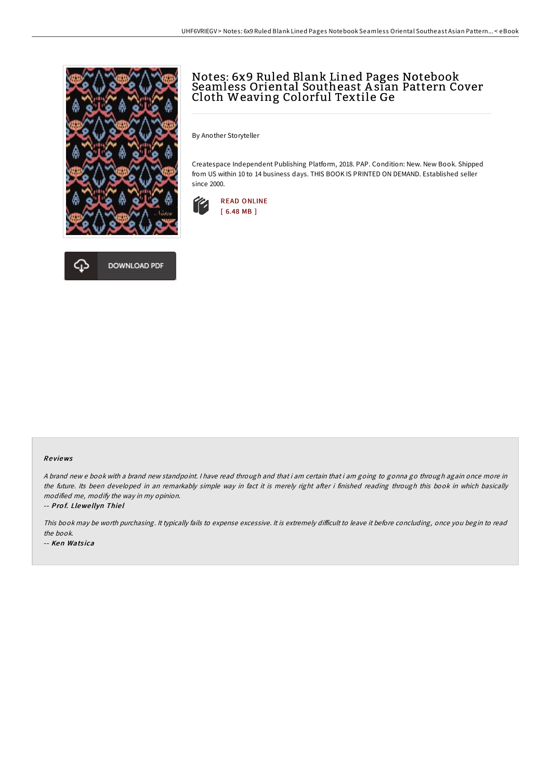

# **DOWNLOAD PDF**

## Notes: 6x9 Ruled Blank Lined Pages Notebook Seamless Oriental Southeast A sian Pattern Cover Cloth Weaving Colorful Textile Ge

By Another Storyteller

Createspace Independent Publishing Platform, 2018. PAP. Condition: New. New Book. Shipped from US within 10 to 14 business days. THIS BOOK IS PRINTED ON DEMAND. Established seller since 2000.



#### Re views

A brand new <sup>e</sup> book with <sup>a</sup> brand new standpoint. I have read through and that i am certain that i am going to gonna go through again once more in the future. Its been developed in an remarkably simple way in fact it is merely right after i finished reading through this book in which basically modified me, modify the way in my opinion.

#### -- Pro f. Llewe llyn Thie l

This book may be worth purchasing. It typically fails to expense excessive. It is extremely difficult to leave it before concluding, once you begin to read the book.

-- Ken Watsica